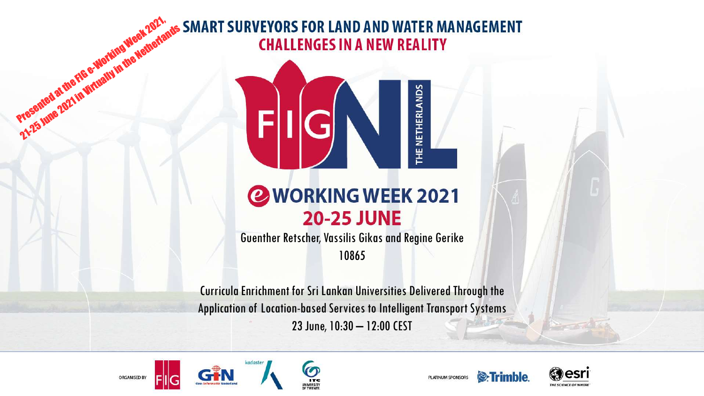# Presented at the FIG e-Working Week 2021, 21-25 June 2021 in Virtually in the Metherlands **CHALLENGES IN A NEW REALITY**



#### **@WORKING WEEK 2021 20-25 JUNE**

Guenther Retscher, Vassilis Gikas and Regine Gerike 10865

Curricula Enrichment for Sri Lankan Universities Delivered Through the Application of Location-based Services to Intelligent Transport Systems 23 June, 10:30 – 12:00 CEST







PLATINUM SPONSORS

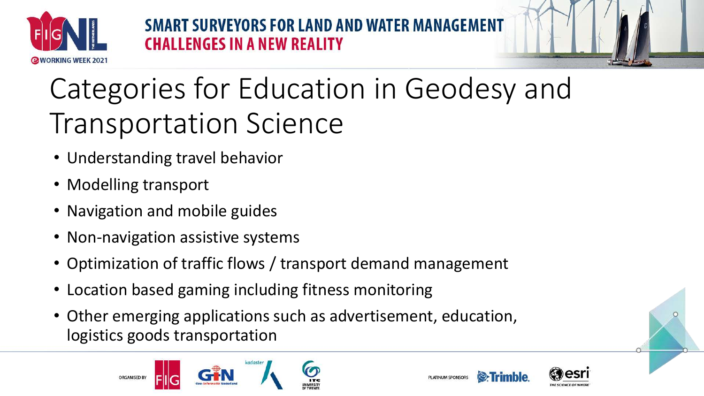

**SMART SURVEYORS FOR LAND AND WATER MANAGE. CHALLENGES IN A NEW REALITY** 

# Categories for Education in Geodesy and Transportation Science

- Understanding travel behavior
- Modelling transport
- Navigation and mobile guides
- Non-navigation assistive systems
- Optimization of traffic flows / transport demand management
- Location based gaming including fitness monitoring
- Other emerging applications such as advertisement, education, logistics goods transportation





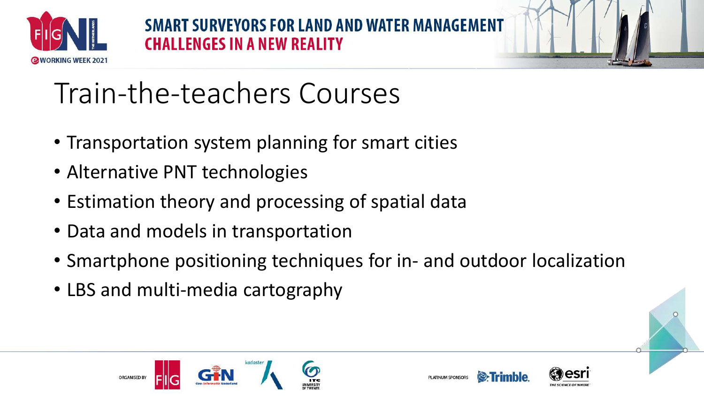

**SMART SURVEYORS FOR LAND AND WATER MAN CHALLENGES IN A NEW REALITY** 



# Train-the-teachers Courses

- Transportation system planning for smart cities
- Alternative PNT technologies
- Estimation theory and processing of spatial data
- Data and models in transportation
- Smartphone positioning techniques for in- and outdoor localization
- LBS and multi-media cartography





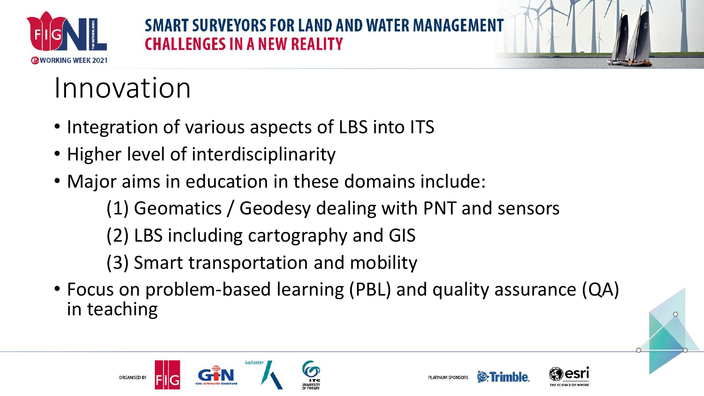

#### **SMART SURVEYORS FOR LAND AND WATER MANAO CHALLENGES IN A NEW REALITY**



## Innovation

- Integration of various aspects of LBS into ITS
- Higher level of interdisciplinarity
- Major aims in education in these domains include:
	- (1) Geomatics / Geodesy dealing with PNT and sensors
	- (2) LBS including cartography and GIS
	- (3) Smart transportation and mobility
- Focus on problem-based learning (PBL) and quality assurance (QA) in teaching







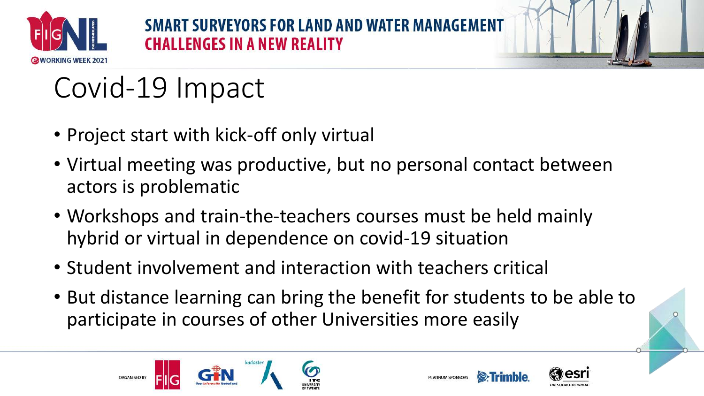

**SMART SURVEYORS FOR LAND AND WATER MANA CHALLENGES IN A NEW REALITY** 



- Project start with kick-off only virtual
- Virtual meeting was productive, but no personal contact between actors is problematic
- Workshops and train-the-teachers courses must be held mainly hybrid or virtual in dependence on covid-19 situation
- Student involvement and interaction with teachers critical
- But distance learning can bring the benefit for students to be able to participate in courses of other Universities more easily





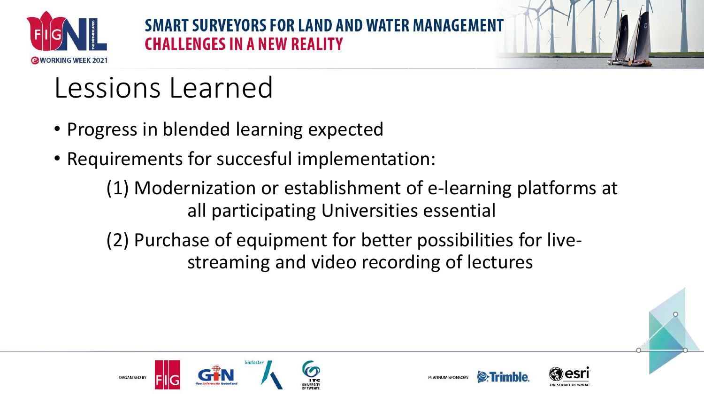

**SMART SURVEYORS FOR LAND AND WATER MANA CHALLENGES IN A NEW REALITY** 



### Lessions Learned

- Progress in blended learning expected
- Requirements for succesful implementation:
	- (1) Modernization or establishment of e-learning platforms at all participating Universities essential
	- (2) Purchase of equipment for better possibilities for livestreaming and video recording of lectures